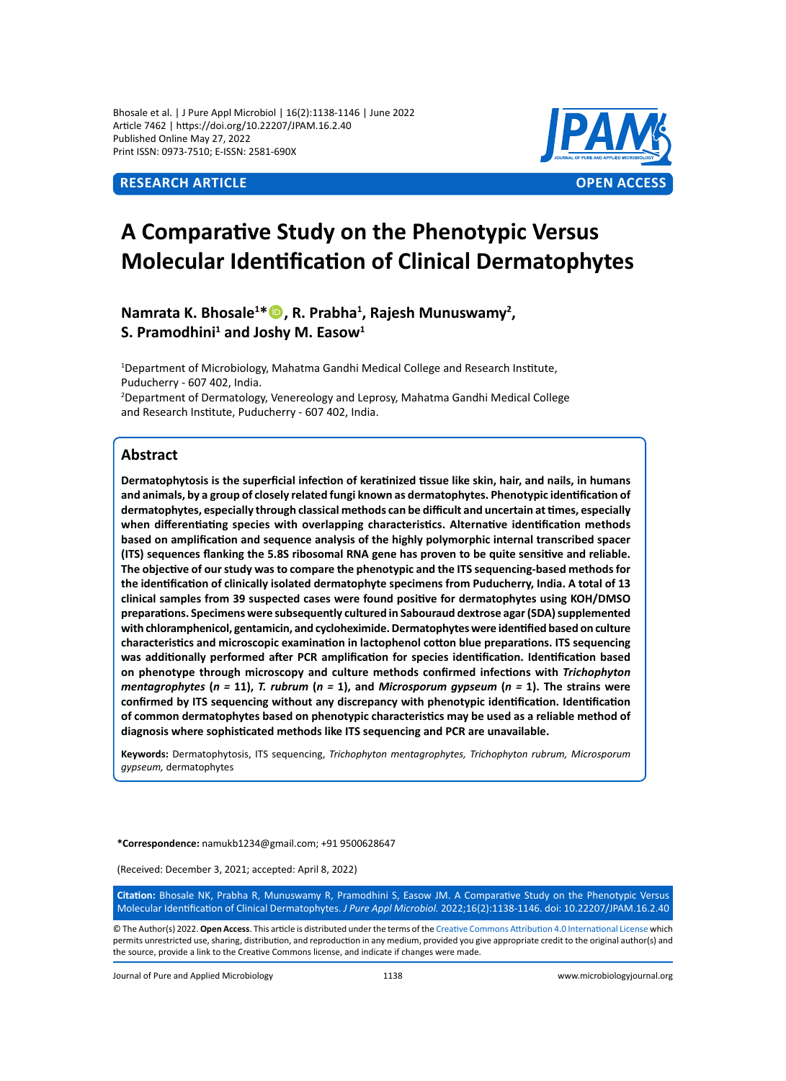Bhosale et al. | J Pure Appl Microbiol | 16(2):1138-1146 | June 2022 Article 7462 | https://doi.org/10.22207/JPAM.16.2.40 Published Online May 27, 2022 Print ISSN: 0973-7510; E-ISSN: 2581-690X



# **A Comparative Study on the Phenotypic Versus Molecular Identification of Clinical Dermatophytes**

# **Namrata K. Bhosale<sup>1</sup> \*, R. Prabha<sup>1</sup> , Rajesh Munuswamy<sup>2</sup> , S. Pramodhini<sup>1</sup> and Joshy M. Easow<sup>1</sup>**

<sup>1</sup>Department of Microbiology, Mahatma Gandhi Medical College and Research Institute, Puducherry - 607 402, India.

2 Department of Dermatology, Venereology and Leprosy, Mahatma Gandhi Medical College and Research Institute, Puducherry - 607 402, India.

## **Abstract**

**Dermatophytosis is the superficial infection of keratinized tissue like skin, hair, and nails, in humans and animals, by a group of closely related fungi known as dermatophytes. Phenotypic identification of dermatophytes, especially through classical methods can be difficult and uncertain at times, especially when differentiating species with overlapping characteristics. Alternative identification methods based on amplification and sequence analysis of the highly polymorphic internal transcribed spacer (ITS) sequences flanking the 5.8S ribosomal RNA gene has proven to be quite sensitive and reliable. The objective of our study was to compare the phenotypic and the ITS sequencing-based methods for the identification of clinically isolated dermatophyte specimens from Puducherry, India. A total of 13 clinical samples from 39 suspected cases were found positive for dermatophytes using KOH/DMSO preparations. Specimens were subsequently cultured in Sabouraud dextrose agar (SDA) supplemented with chloramphenicol, gentamicin, and cycloheximide. Dermatophytes were identified based on culture characteristics and microscopic examination in lactophenol cotton blue preparations. ITS sequencing was additionally performed after PCR amplification for species identification. Identification based on phenotype through microscopy and culture methods confirmed infections with** *Trichophyton mentagrophytes* **(***n =* **11),** *T. rubrum* **(***n =* **1), and** *Microsporum gypseum* **(***n =* **1). The strains were confirmed by ITS sequencing without any discrepancy with phenotypic identification. Identification of common dermatophytes based on phenotypic characteristics may be used as a reliable method of diagnosis where sophisticated methods like ITS sequencing and PCR are unavailable.**

**Keywords:** Dermatophytosis, ITS sequencing, *Trichophyton mentagrophytes, Trichophyton rubrum, Microsporum gypseum,* dermatophytes

**\*Correspondence:** namukb1234@gmail.com; +91 9500628647

(Received: December 3, 2021; accepted: April 8, 2022)

**Citation:** Bhosale NK, Prabha R, Munuswamy R, Pramodhini S, Easow JM. A Comparative Study on the Phenotypic Versus Molecular Identification of Clinical Dermatophytes. *J Pure Appl Microbiol.* 2022;16(2):1138-1146. doi: 10.22207/JPAM.16.2.40

© The Author(s) 2022. **Open Access**. This article is distributed under the terms of the [Creative Commons Attribution 4.0 International License](https://creativecommons.org/licenses/by/4.0/) which permits unrestricted use, sharing, distribution, and reproduction in any medium, provided you give appropriate credit to the original author(s) and the source, provide a link to the Creative Commons license, and indicate if changes were made.

Journal of Pure and Applied Microbiology 1138 www.microbiologyjournal.org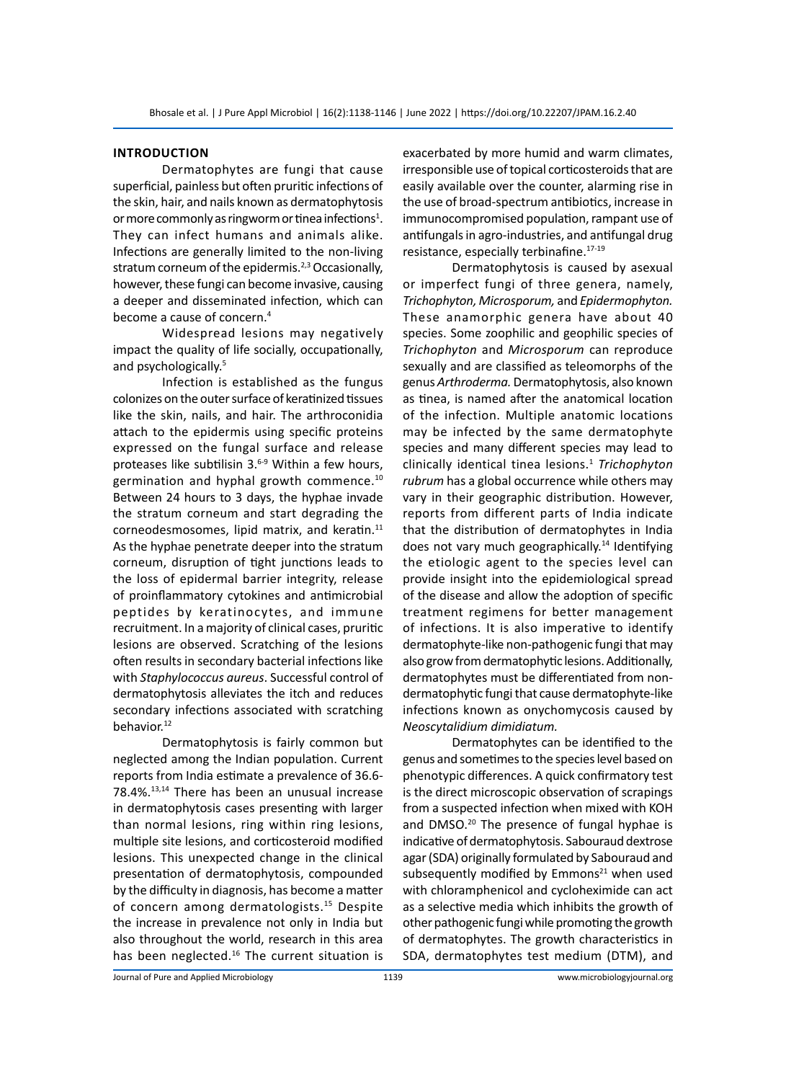#### **Introduction**

Dermatophytes are fungi that cause superficial, painless but often pruritic infections of the skin, hair, and nails known as dermatophytosis or more commonly as ringworm or tinea infections<sup>1</sup>. They can infect humans and animals alike. Infections are generally limited to the non-living stratum corneum of the epidermis.<sup>2,3</sup> Occasionally, however, these fungi can become invasive, causing a deeper and disseminated infection, which can become a cause of concern.<sup>4</sup>

Widespread lesions may negatively impact the quality of life socially, occupationally, and psychologically.<sup>5</sup>

Infection is established as the fungus colonizes on the outer surface of keratinized tissues like the skin, nails, and hair. The arthroconidia attach to the epidermis using specific proteins expressed on the fungal surface and release proteases like subtilisin 3.<sup>6-9</sup> Within a few hours, germination and hyphal growth commence.10 Between 24 hours to 3 days, the hyphae invade the stratum corneum and start degrading the corneodesmosomes, lipid matrix, and keratin.<sup>11</sup> As the hyphae penetrate deeper into the stratum corneum, disruption of tight junctions leads to the loss of epidermal barrier integrity, release of proinflammatory cytokines and antimicrobial peptides by keratinocytes, and immune recruitment. In a majority of clinical cases, pruritic lesions are observed. Scratching of the lesions often results in secondary bacterial infections like with *Staphylococcus aureus*. Successful control of dermatophytosis alleviates the itch and reduces secondary infections associated with scratching behavior.<sup>12</sup>

Dermatophytosis is fairly common but neglected among the Indian population. Current reports from India estimate a prevalence of 36.6- 78.4%.13,14 There has been an unusual increase in dermatophytosis cases presenting with larger than normal lesions, ring within ring lesions, multiple site lesions, and corticosteroid modified lesions. This unexpected change in the clinical presentation of dermatophytosis, compounded by the difficulty in diagnosis, has become a matter of concern among dermatologists.<sup>15</sup> Despite the increase in prevalence not only in India but also throughout the world, research in this area has been neglected.<sup>16</sup> The current situation is exacerbated by more humid and warm climates, irresponsible use of topical corticosteroids that are easily available over the counter, alarming rise in the use of broad-spectrum antibiotics, increase in immunocompromised population, rampant use of antifungals in agro-industries, and antifungal drug resistance, especially terbinafine.17-19

Dermatophytosis is caused by asexual or imperfect fungi of three genera, namely, *Trichophyton, Microsporum,* and *Epidermophyton.*  These anamorphic genera have about 40 species. Some zoophilic and geophilic species of *Trichophyton* and *Microsporum* can reproduce sexually and are classified as teleomorphs of the genus *Arthroderma.* Dermatophytosis, also known as tinea, is named after the anatomical location of the infection. Multiple anatomic locations may be infected by the same dermatophyte species and many different species may lead to clinically identical tinea lesions.1 *Trichophyton rubrum* has a global occurrence while others may vary in their geographic distribution. However, reports from different parts of India indicate that the distribution of dermatophytes in India does not vary much geographically.<sup>14</sup> Identifying the etiologic agent to the species level can provide insight into the epidemiological spread of the disease and allow the adoption of specific treatment regimens for better management of infections. It is also imperative to identify dermatophyte-like non-pathogenic fungi that may also grow from dermatophytic lesions. Additionally, dermatophytes must be differentiated from nondermatophytic fungi that cause dermatophyte-like infections known as onychomycosis caused by *Neoscytalidium dimidiatum.*

Dermatophytes can be identified to the genus and sometimes to the species level based on phenotypic differences. A quick confirmatory test is the direct microscopic observation of scrapings from a suspected infection when mixed with KOH and DMSO.<sup>20</sup> The presence of fungal hyphae is indicative of dermatophytosis. Sabouraud dextrose agar (SDA) originally formulated by Sabouraud and subsequently modified by Emmons $^{21}$  when used with chloramphenicol and cycloheximide can act as a selective media which inhibits the growth of other pathogenic fungi while promoting the growth of dermatophytes. The growth characteristics in SDA, dermatophytes test medium (DTM), and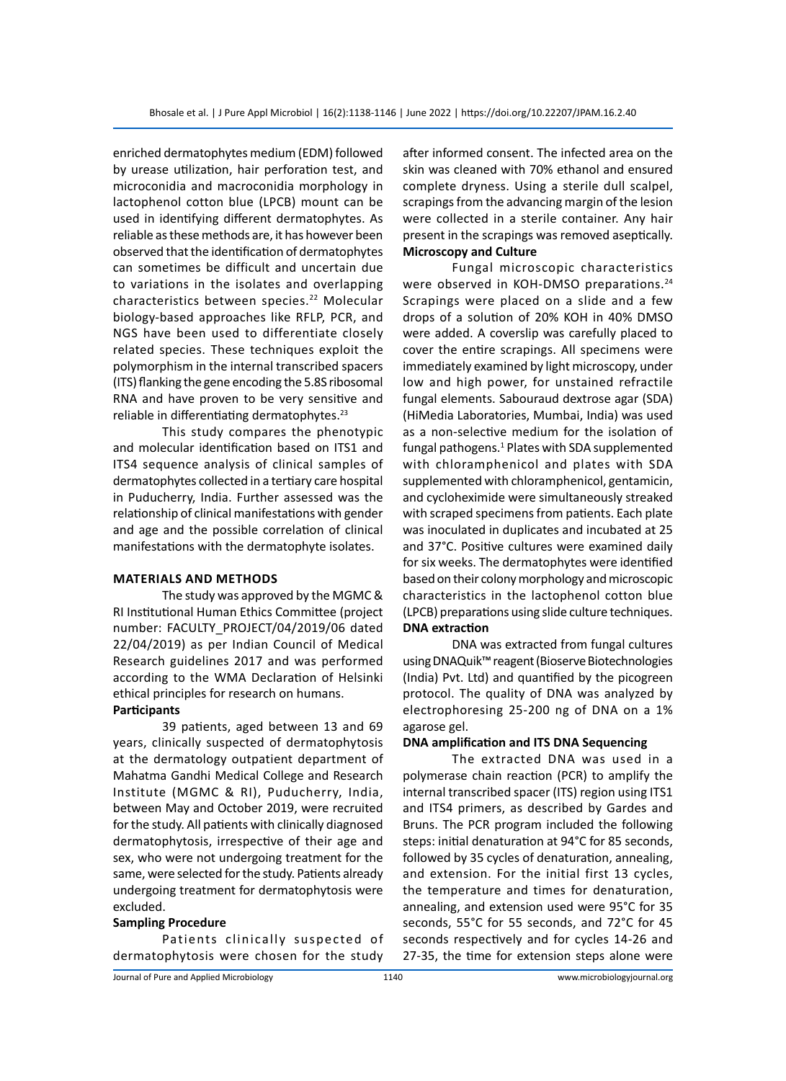enriched dermatophytes medium (EDM) followed by urease utilization, hair perforation test, and microconidia and macroconidia morphology in lactophenol cotton blue (LPCB) mount can be used in identifying different dermatophytes. As reliable as these methods are, it has however been observed that the identification of dermatophytes can sometimes be difficult and uncertain due to variations in the isolates and overlapping characteristics between species.<sup>22</sup> Molecular biology-based approaches like RFLP, PCR, and NGS have been used to differentiate closely related species. These techniques exploit the polymorphism in the internal transcribed spacers (ITS) flanking the gene encoding the 5.8S ribosomal RNA and have proven to be very sensitive and reliable in differentiating dermatophytes.<sup>23</sup>

This study compares the phenotypic and molecular identification based on ITS1 and ITS4 sequence analysis of clinical samples of dermatophytes collected in a tertiary care hospital in Puducherry, India. Further assessed was the relationship of clinical manifestations with gender and age and the possible correlation of clinical manifestations with the dermatophyte isolates.

#### **Materials and Methods**

The study was approved by the MGMC & RI Institutional Human Ethics Committee (project number: FACULTY\_PROJECT/04/2019/06 dated 22/04/2019) as per Indian Council of Medical Research guidelines 2017 and was performed according to the WMA Declaration of Helsinki ethical principles for research on humans.

#### **Participants**

39 patients, aged between 13 and 69 years, clinically suspected of dermatophytosis at the dermatology outpatient department of Mahatma Gandhi Medical College and Research Institute (MGMC & RI), Puducherry, India, between May and October 2019, were recruited for the study. All patients with clinically diagnosed dermatophytosis, irrespective of their age and sex, who were not undergoing treatment for the same, were selected for the study. Patients already undergoing treatment for dermatophytosis were excluded.

#### **Sampling Procedure**

Patients clinically suspected of dermatophytosis were chosen for the study after informed consent. The infected area on the skin was cleaned with 70% ethanol and ensured complete dryness. Using a sterile dull scalpel, scrapings from the advancing margin of the lesion were collected in a sterile container. Any hair present in the scrapings was removed aseptically. **Microscopy and Culture**

Fungal microscopic characteristics were observed in KOH-DMSO preparations.<sup>24</sup> Scrapings were placed on a slide and a few drops of a solution of 20% KOH in 40% DMSO were added. A coverslip was carefully placed to cover the entire scrapings. All specimens were immediately examined by light microscopy, under low and high power, for unstained refractile fungal elements. Sabouraud dextrose agar (SDA) (HiMedia Laboratories, Mumbai, India) was used as a non-selective medium for the isolation of fungal pathogens.<sup>1</sup> Plates with SDA supplemented with chloramphenicol and plates with SDA supplemented with chloramphenicol, gentamicin, and cycloheximide were simultaneously streaked with scraped specimens from patients. Each plate was inoculated in duplicates and incubated at 25 and 37°C. Positive cultures were examined daily for six weeks. The dermatophytes were identified based on their colony morphology and microscopic characteristics in the lactophenol cotton blue (LPCB) preparations using slide culture techniques. **DNA extraction**

DNA was extracted from fungal cultures using DNAQuik™ reagent (Bioserve Biotechnologies (India) Pvt. Ltd) and quantified by the picogreen protocol. The quality of DNA was analyzed by electrophoresing 25-200 ng of DNA on a 1% agarose gel.

#### **DNA amplification and ITS DNA Sequencing**

The extracted DNA was used in a polymerase chain reaction (PCR) to amplify the internal transcribed spacer (ITS) region using ITS1 and ITS4 primers, as described by Gardes and Bruns. The PCR program included the following steps: initial denaturation at 94°C for 85 seconds, followed by 35 cycles of denaturation, annealing, and extension. For the initial first 13 cycles, the temperature and times for denaturation, annealing, and extension used were 95°C for 35 seconds, 55°C for 55 seconds, and 72°C for 45 seconds respectively and for cycles 14-26 and 27-35, the time for extension steps alone were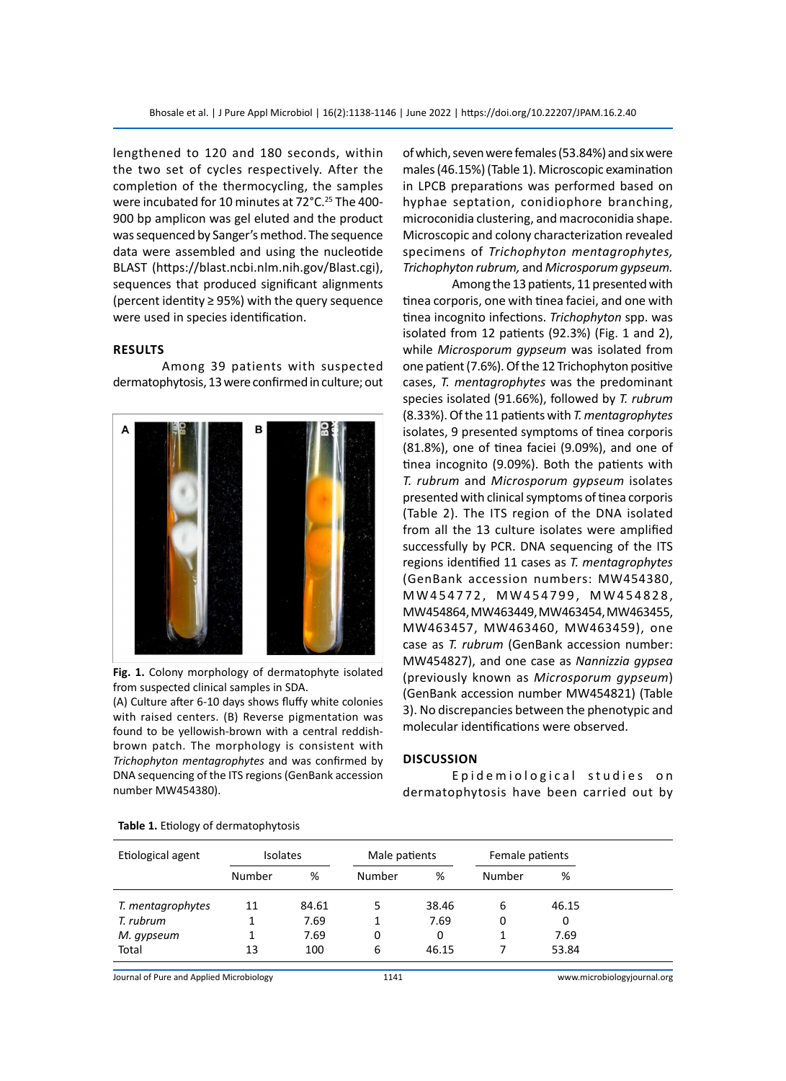lengthened to 120 and 180 seconds, within the two set of cycles respectively. After the completion of the thermocycling, the samples were incubated for 10 minutes at 72°C.<sup>25</sup> The 400-900 bp amplicon was gel eluted and the product was sequenced by Sanger's method. The sequence data were assembled and using the nucleotide BLAST (https://blast.ncbi.nlm.nih.gov/Blast.cgi), sequences that produced significant alignments (percent identity ≥ 95%) with the query sequence were used in species identification.

#### **Results**

Among 39 patients with suspected dermatophytosis, 13 were confirmed in culture; out



**Fig. 1.** Colony morphology of dermatophyte isolated from suspected clinical samples in SDA.

(A) Culture after 6-10 days shows fluffy white colonies with raised centers. (B) Reverse pigmentation was found to be yellowish-brown with a central reddishbrown patch. The morphology is consistent with *Trichophyton mentagrophytes* and was confirmed by DNA sequencing of the ITS regions (GenBank accession number MW454380).

of which, seven were females (53.84%) and six were males (46.15%) (Table 1). Microscopic examination in LPCB preparations was performed based on hyphae septation, conidiophore branching, microconidia clustering, and macroconidia shape. Microscopic and colony characterization revealed specimens of *Trichophyton mentagrophytes, Trichophyton rubrum,* and *Microsporum gypseum.*

Among the 13 patients, 11 presented with tinea corporis, one with tinea faciei, and one with tinea incognito infections. *Trichophyton* spp. was isolated from 12 patients (92.3%) (Fig. 1 and 2), while *Microsporum gypseum* was isolated from one patient (7.6%). Of the 12 Trichophyton positive cases, *T. mentagrophytes* was the predominant species isolated (91.66%), followed by *T. rubrum*  (8.33%). Of the 11 patients with *T. mentagrophytes* isolates, 9 presented symptoms of tinea corporis (81.8%), one of tinea faciei (9.09%), and one of tinea incognito (9.09%). Both the patients with *T. rubrum* and *Microsporum gypseum* isolates presented with clinical symptoms of tinea corporis (Table 2). The ITS region of the DNA isolated from all the 13 culture isolates were amplified successfully by PCR. DNA sequencing of the ITS regions identified 11 cases as *T. mentagrophytes*  (GenBank accession numbers: MW454380, M W 4 5 4 7 7 2 , M W 4 5 4 7 9 9 , M W 4 5 4 8 2 8 , MW454864, MW463449, MW463454, MW463455, MW463457, MW463460, MW463459), one case as *T. rubrum* (GenBank accession number: MW454827), and one case as *Nannizzia gypsea*  (previously known as *Microsporum gypseum*) (GenBank accession number MW454821) (Table 3). No discrepancies between the phenotypic and molecular identifications were observed.

#### **Discussion**

Epidemiological studies on dermatophytosis have been carried out by

| Etiological agent | <b>Isolates</b> |       | Male patients |       | Female patients |       |
|-------------------|-----------------|-------|---------------|-------|-----------------|-------|
|                   | Number          | %     | Number        | %     | Number          | %     |
| T. mentagrophytes | 11              | 84.61 |               | 38.46 | 6               | 46.15 |
| T. rubrum         |                 | 7.69  |               | 7.69  | 0               | 0     |
| M. gypseum        |                 | 7.69  | 0             | 0     |                 | 7.69  |
| Total             | 13              | 100   | 6             | 46.15 |                 | 53.84 |

#### **Table 1.** Etiology of dermatophytosis

Journal of Pure and Applied Microbiology 1141 www.microbiologyjournal.org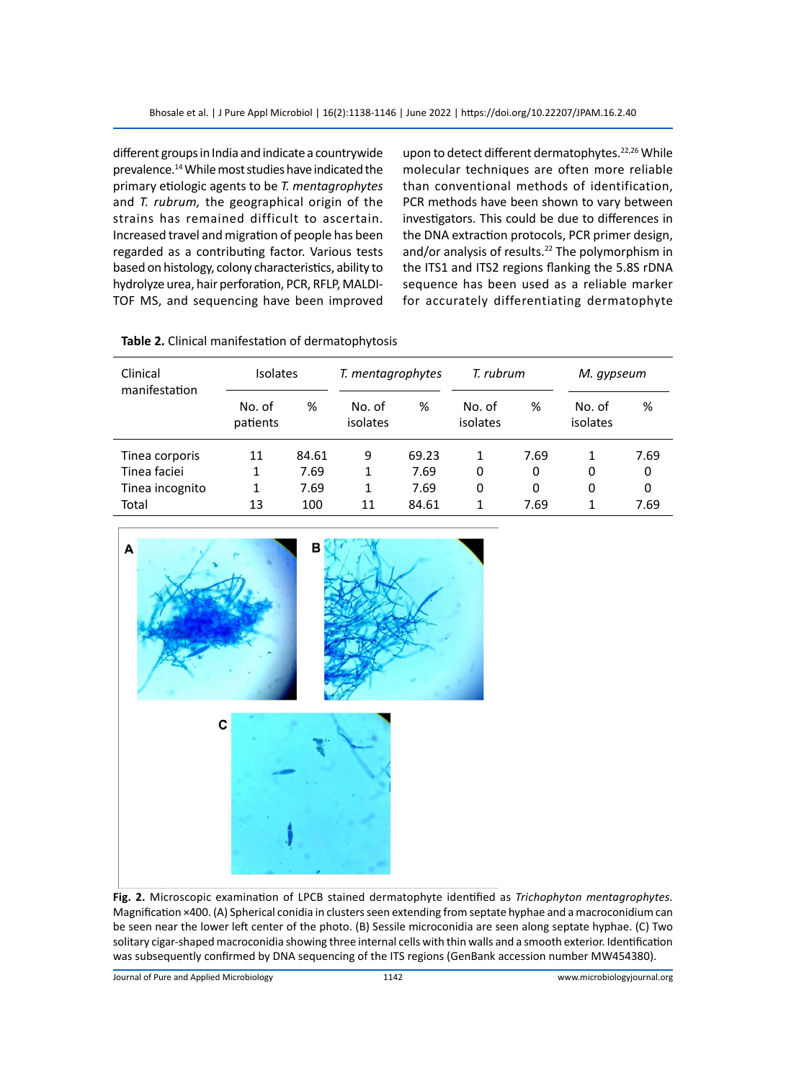different groups in India and indicate a countrywide prevalence.14 While most studies have indicated the primary etiologic agents to be *T. mentagrophytes*  and *T. rubrum,* the geographical origin of the strains has remained difficult to ascertain. Increased travel and migration of people has been regarded as a contributing factor. Various tests based on histology, colony characteristics, ability to hydrolyze urea, hair perforation, PCR, RFLP, MALDI-TOF MS, and sequencing have been improved

upon to detect different dermatophytes.<sup>22,26</sup> While molecular techniques are often more reliable than conventional methods of identification, PCR methods have been shown to vary between investigators. This could be due to differences in the DNA extraction protocols, PCR primer design, and/or analysis of results.<sup>22</sup> The polymorphism in the ITS1 and ITS2 regions flanking the 5.8S rDNA sequence has been used as a reliable marker for accurately differentiating dermatophyte

| Clinical<br>manifestation | <b>Isolates</b>    |       | T. mentagrophytes  |       | T. rubrum          |      | M. gypseum         |      |
|---------------------------|--------------------|-------|--------------------|-------|--------------------|------|--------------------|------|
|                           | No. of<br>patients | %     | No. of<br>isolates | %     | No. of<br>isolates | %    | No. of<br>isolates | %    |
| Tinea corporis            | 11                 | 84.61 | 9                  | 69.23 |                    | 7.69 | 1                  | 7.69 |
| Tinea faciei              | 1                  | 7.69  | 1                  | 7.69  | 0                  | 0    | 0                  | 0    |
| Tinea incognito           | 1                  | 7.69  | 1                  | 7.69  | 0                  | 0    | 0                  | 0    |
| Total                     | 13                 | 100   | 11                 | 84.61 |                    | 7.69 | 1                  | 7.69 |





**Fig. 2.** Microscopic examination of LPCB stained dermatophyte identified as *Trichophyton mentagrophytes.*  Magnification ×400. (A) Spherical conidia in clusters seen extending from septate hyphae and a macroconidium can be seen near the lower left center of the photo. (B) Sessile microconidia are seen along septate hyphae. (C) Two solitary cigar-shaped macroconidia showing three internal cells with thin walls and a smooth exterior. Identification was subsequently confirmed by DNA sequencing of the ITS regions (GenBank accession number MW454380).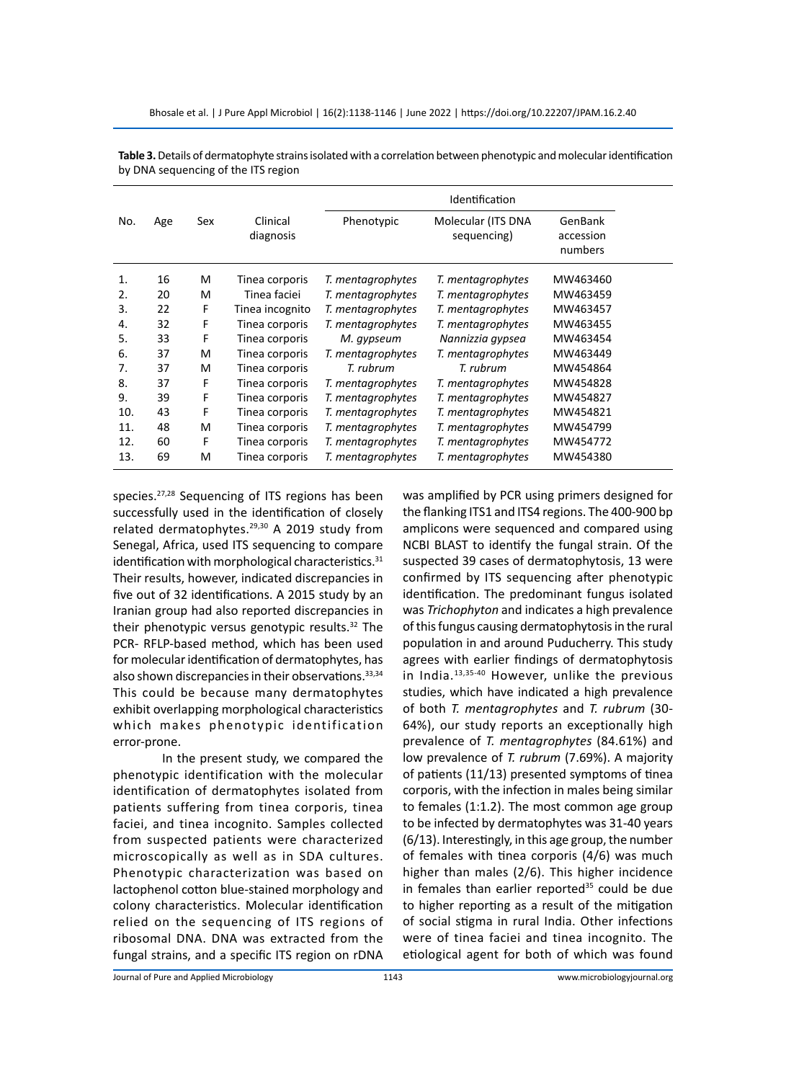|     |     |     |                       | Identification    |                                   |                                 |  |  |  |
|-----|-----|-----|-----------------------|-------------------|-----------------------------------|---------------------------------|--|--|--|
| No. | Age | Sex | Clinical<br>diagnosis | Phenotypic        | Molecular (ITS DNA<br>sequencing) | GenBank<br>accession<br>numbers |  |  |  |
| 1.  | 16  | м   | Tinea corporis        | T. mentagrophytes | T. mentagrophytes                 | MW463460                        |  |  |  |
| 2.  | 20  | м   | Tinea faciei          | T. mentagrophytes | T. mentagrophytes                 | MW463459                        |  |  |  |
| 3.  | 22  | F   | Tinea incognito       | T. mentagrophytes | T. mentagrophytes                 | MW463457                        |  |  |  |
| 4.  | 32  | F   | Tinea corporis        | T. mentagrophytes | T. mentagrophytes                 | MW463455                        |  |  |  |
| 5.  | 33  | F   | Tinea corporis        | M. gypseum        | Nannizzia gypsea                  | MW463454                        |  |  |  |
| 6.  | 37  | м   | Tinea corporis        | T. mentagrophytes | T. mentagrophytes                 | MW463449                        |  |  |  |
| 7.  | 37  | м   | Tinea corporis        | T. rubrum         | T. rubrum                         | MW454864                        |  |  |  |
| 8.  | 37  | F   | Tinea corporis        | T. mentagrophytes | T. mentagrophytes                 | MW454828                        |  |  |  |
| 9.  | 39  | F   | Tinea corporis        | T. mentagrophytes | T. mentagrophytes                 | MW454827                        |  |  |  |
| 10. | 43  | F   | Tinea corporis        | T. mentagrophytes | T. mentagrophytes                 | MW454821                        |  |  |  |
| 11. | 48  | м   | Tinea corporis        | T. mentagrophytes | T. mentagrophytes                 | MW454799                        |  |  |  |
| 12. | 60  | F   | Tinea corporis        | T. mentagrophytes | T. mentagrophytes                 | MW454772                        |  |  |  |
| 13. | 69  | M   | Tinea corporis        | T. mentagrophytes | T. mentagrophytes                 | MW454380                        |  |  |  |

**Table 3.** Details of dermatophyte strains isolated with a correlation between phenotypic and molecular identification by DNA sequencing of the ITS region

species.27,28 Sequencing of ITS regions has been successfully used in the identification of closely related dermatophytes.<sup>29,30</sup> A 2019 study from Senegal, Africa, used ITS sequencing to compare identification with morphological characteristics.<sup>31</sup> Their results, however, indicated discrepancies in five out of 32 identifications. A 2015 study by an Iranian group had also reported discrepancies in their phenotypic versus genotypic results. $32$  The PCR- RFLP-based method, which has been used for molecular identification of dermatophytes, has also shown discrepancies in their observations. 33,34 This could be because many dermatophytes exhibit overlapping morphological characteristics which makes phenotypic identification error-prone.

In the present study, we compared the phenotypic identification with the molecular identification of dermatophytes isolated from patients suffering from tinea corporis, tinea faciei, and tinea incognito. Samples collected from suspected patients were characterized microscopically as well as in SDA cultures. Phenotypic characterization was based on lactophenol cotton blue-stained morphology and colony characteristics. Molecular identification relied on the sequencing of ITS regions of ribosomal DNA. DNA was extracted from the fungal strains, and a specific ITS region on rDNA was amplified by PCR using primers designed for the flanking ITS1 and ITS4 regions. The 400-900 bp amplicons were sequenced and compared using NCBI BLAST to identify the fungal strain. Of the suspected 39 cases of dermatophytosis, 13 were confirmed by ITS sequencing after phenotypic identification. The predominant fungus isolated was *Trichophyton* and indicates a high prevalence of this fungus causing dermatophytosis in the rural population in and around Puducherry. This study agrees with earlier findings of dermatophytosis in India.13,35-40 However, unlike the previous studies, which have indicated a high prevalence of both *T. mentagrophytes* and *T. rubrum* (30- 64%), our study reports an exceptionally high prevalence of *T. mentagrophytes* (84.61%) and low prevalence of *T. rubrum* (7.69%). A majority of patients (11/13) presented symptoms of tinea corporis, with the infection in males being similar to females (1:1.2). The most common age group to be infected by dermatophytes was 31-40 years (6/13). Interestingly, in this age group, the number of females with tinea corporis (4/6) was much higher than males (2/6). This higher incidence in females than earlier reported $35$  could be due to higher reporting as a result of the mitigation of social stigma in rural India. Other infections were of tinea faciei and tinea incognito. The etiological agent for both of which was found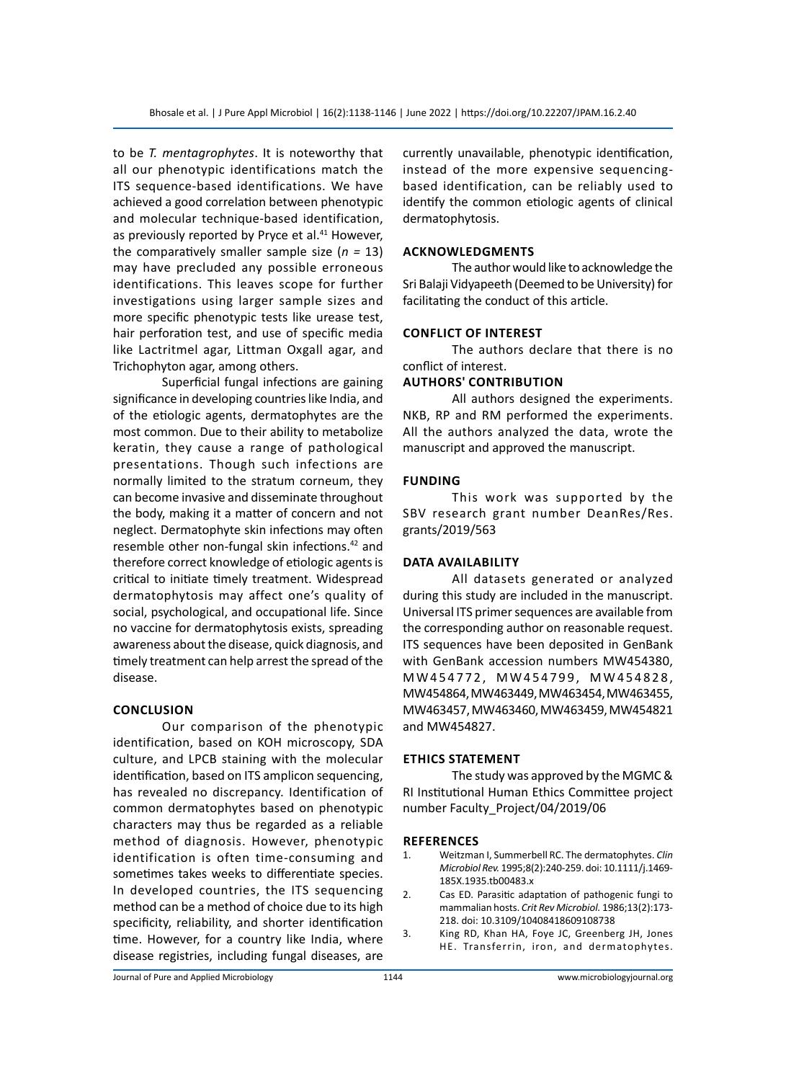to be *T. mentagrophytes*. It is noteworthy that all our phenotypic identifications match the ITS sequence-based identifications. We have achieved a good correlation between phenotypic and molecular technique-based identification, as previously reported by Pryce et al.<sup>41</sup> However, the comparatively smaller sample size (*n =* 13) may have precluded any possible erroneous identifications. This leaves scope for further investigations using larger sample sizes and more specific phenotypic tests like urease test, hair perforation test, and use of specific media like Lactritmel agar, Littman Oxgall agar, and Trichophyton agar, among others.

Superficial fungal infections are gaining significance in developing countries like India, and of the etiologic agents, dermatophytes are the most common. Due to their ability to metabolize keratin, they cause a range of pathological presentations. Though such infections are normally limited to the stratum corneum, they can become invasive and disseminate throughout the body, making it a matter of concern and not neglect. Dermatophyte skin infections may often resemble other non-fungal skin infections.42 and therefore correct knowledge of etiologic agents is critical to initiate timely treatment. Widespread dermatophytosis may affect one's quality of social, psychological, and occupational life. Since no vaccine for dermatophytosis exists, spreading awareness about the disease, quick diagnosis, and timely treatment can help arrest the spread of the disease.

#### **Conclusion**

Our comparison of the phenotypic identification, based on KOH microscopy, SDA culture, and LPCB staining with the molecular identification, based on ITS amplicon sequencing, has revealed no discrepancy. Identification of common dermatophytes based on phenotypic characters may thus be regarded as a reliable method of diagnosis. However, phenotypic identification is often time-consuming and sometimes takes weeks to differentiate species. In developed countries, the ITS sequencing method can be a method of choice due to its high specificity, reliability, and shorter identification time. However, for a country like India, where disease registries, including fungal diseases, are currently unavailable, phenotypic identification, instead of the more expensive sequencingbased identification, can be reliably used to identify the common etiologic agents of clinical dermatophytosis.

#### **Acknowledgments**

The author would like to acknowledge the Sri Balaji Vidyapeeth (Deemed to be University) for facilitating the conduct of this article.

#### **Conflict of interest**

The authors declare that there is no conflict of interest.

#### **AuthorS' Contribution**

All authors designed the experiments. NKB, RP and RM performed the experiments. All the authors analyzed the data, wrote the manuscript and approved the manuscript.

### **Funding**

This work was supported by the SBV research grant number DeanRes/Res. grants/2019/563

#### **Data availability**

All datasets generated or analyzed during this study are included in the manuscript. Universal ITS primer sequences are available from the corresponding author on reasonable request. ITS sequences have been deposited in GenBank with GenBank accession numbers MW454380, M W 4 5 4 7 7 2 , M W 4 5 4 7 9 9 , M W 4 5 4 8 2 8 , MW454864, MW463449, MW463454, MW463455, MW463457, MW463460, MW463459, MW454821 and MW454827.

#### **Ethics Statement**

The study was approved by the MGMC & RI Institutional Human Ethics Committee project number Faculty\_Project/04/2019/06

#### **References**

- 1. Weitzman I, Summerbell RC. The dermatophytes. *Clin Microbiol Rev.* 1995;8(2):240-259. doi: 10.1111/j.1469- 185X.1935.tb00483.x
- 2. Cas ED. Parasitic adaptation of pathogenic fungi to mammalian hosts. *Crit Rev Microbiol.* 1986;13(2):173- 218. doi: 10.3109/10408418609108738
- 3. King RD, Khan HA, Foye JC, Greenberg JH, Jones HE. Transferrin, iron, and dermatophytes.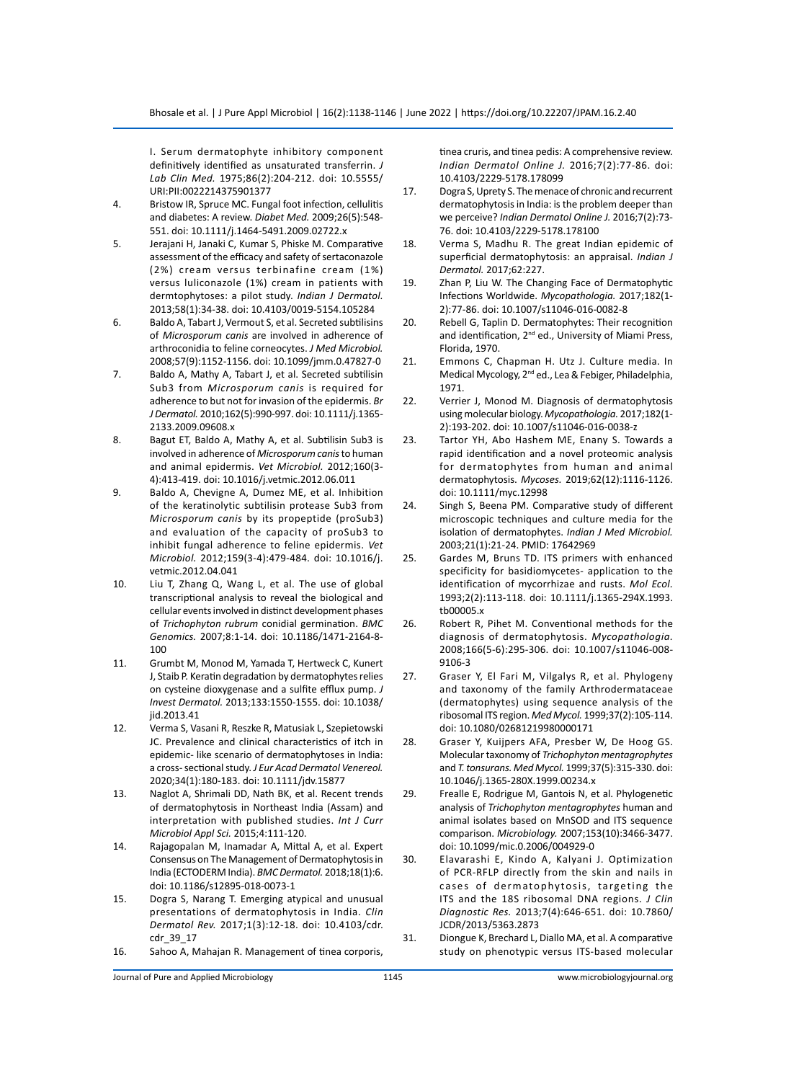I. Serum dermatophyte inhibitory component definitively identified as unsaturated transferrin. *J Lab Clin Med.* 1975;86(2):204-212. doi: 10.5555/ URI:PII:0022214375901377

- 4. Bristow IR, Spruce MC. Fungal foot infection, cellulitis and diabetes: A review. *Diabet Med.* 2009;26(5):548- 551. doi: 10.1111/j.1464-5491.2009.02722.x
- 5. Jerajani H, Janaki C, Kumar S, Phiske M. Comparative assessment of the efficacy and safety of sertaconazole (2%) cream versus terbinafine cream (1%) versus luliconazole (1%) cream in patients with dermtophytoses: a pilot study. *Indian J Dermatol.* 2013;58(1):34-38. doi: 10.4103/0019-5154.105284
- 6. Baldo A, Tabart J, Vermout S, et al. Secreted subtilisins of *Microsporum canis* are involved in adherence of arthroconidia to feline corneocytes. *J Med Microbiol.* 2008;57(9):1152-1156. doi: 10.1099/jmm.0.47827-0
- 7. Baldo A, Mathy A, Tabart J, et al. Secreted subtilisin Sub3 from *Microsporum canis* is required for adherence to but not for invasion of the epidermis. *Br J Dermatol.* 2010;162(5):990-997. doi: 10.1111/j.1365- 2133.2009.09608.x
- 8. Bagut ET, Baldo A, Mathy A, et al. Subtilisin Sub3 is involved in adherence of *Microsporum canis* to human and animal epidermis. *Vet Microbiol.* 2012;160(3- 4):413-419. doi: 10.1016/j.vetmic.2012.06.011
- 9. Baldo A, Chevigne A, Dumez ME, et al. Inhibition of the keratinolytic subtilisin protease Sub3 from *Microsporum canis* by its propeptide (proSub3) and evaluation of the capacity of proSub3 to inhibit fungal adherence to feline epidermis. *Vet Microbiol.* 2012;159(3-4):479-484. doi: 10.1016/j. vetmic.2012.04.041
- 10. Liu T, Zhang Q, Wang L, et al. The use of global transcriptional analysis to reveal the biological and cellular events involved in distinct development phases of *Trichophyton rubrum* conidial germination. *BMC Genomics.* 2007;8:1-14. doi: 10.1186/1471-2164-8- 100
- 11. Grumbt M, Monod M, Yamada T, Hertweck C, Kunert J, Staib P. Keratin degradation by dermatophytes relies on cysteine dioxygenase and a sulfite efflux pump. *J Invest Dermatol.* 2013;133:1550-1555. doi: 10.1038/ jid.2013.41
- 12. Verma S, Vasani R, Reszke R, Matusiak L, Szepietowski JC. Prevalence and clinical characteristics of itch in epidemic‐ like scenario of dermatophytoses in India: a cross‐ sectional study. *J Eur Acad Dermatol Venereol.* 2020;34(1):180-183. doi: 10.1111/jdv.15877
- 13. Naglot A, Shrimali DD, Nath BK, et al. Recent trends of dermatophytosis in Northeast India (Assam) and interpretation with published studies. *Int J Curr Microbiol Appl Sci.* 2015;4:111-120.
- 14. Rajagopalan M, Inamadar A, Mittal A, et al. Expert Consensus on The Management of Dermatophytosis in India (ECTODERM India). *BMC Dermatol.* 2018;18(1):6. doi: 10.1186/s12895-018-0073-1
- 15. Dogra S, Narang T. Emerging atypical and unusual presentations of dermatophytosis in India. *Clin Dermatol Rev.* 2017;1(3):12-18. doi: 10.4103/cdr. cdr\_39\_17
- 16. Sahoo A, Mahajan R. Management of tinea corporis,

tinea cruris, and tinea pedis: A comprehensive review. *Indian Dermatol Online J.* 2016;7(2):77-86. doi: 10.4103/2229-5178.178099

- 17. Dogra S, Uprety S. The menace of chronic and recurrent dermatophytosis in India: is the problem deeper than we perceive? *Indian Dermatol Online J.* 2016;7(2):73- 76. doi: 10.4103/2229-5178.178100
- 18. Verma S, Madhu R. The great Indian epidemic of superficial dermatophytosis: an appraisal. *Indian J Dermatol.* 2017;62:227.
- 19. Zhan P, Liu W. The Changing Face of Dermatophytic Infections Worldwide. *Mycopathologia.* 2017;182(1- 2):77-86. doi: 10.1007/s11046-016-0082-8
- 20. Rebell G, Taplin D. Dermatophytes: Their recognition and identification, 2<sup>nd</sup> ed., University of Miami Press, Florida, 1970.
- 21. Emmons C, Chapman H. Utz J. Culture media. In Medical Mycology, 2nd ed., Lea & Febiger, Philadelphia, 1971.
- 22. Verrier J, Monod M. Diagnosis of dermatophytosis using molecular biology. *Mycopathologia.* 2017;182(1- 2):193-202. doi: 10.1007/s11046-016-0038-z
- 23. Tartor YH, Abo Hashem ME, Enany S. Towards a rapid identification and a novel proteomic analysis for dermatophytes from human and animal dermatophytosis. *Mycoses.* 2019;62(12):1116-1126. doi: 10.1111/myc.12998
- 24. Singh S, Beena PM. Comparative study of different microscopic techniques and culture media for the isolation of dermatophytes. *Indian J Med Microbiol.*  2003;21(1):21-24. PMID: 17642969
- 25. Gardes M, Bruns TD. ITS primers with enhanced specificity for basidiomycetes‐ application to the identification of mycorrhizae and rusts. *Mol Ecol.* 1993;2(2):113-118. doi: 10.1111/j.1365-294X.1993. tb00005.x
- 26. Robert R, Pihet M. Conventional methods for the diagnosis of dermatophytosis. *Mycopathologia.* 2008;166(5-6):295-306. doi: 10.1007/s11046-008- 9106-3
- 27. Graser Y, El Fari M, Vilgalys R, et al. Phylogeny and taxonomy of the family Arthrodermataceae (dermatophytes) using sequence analysis of the ribosomal ITS region. *Med Mycol.* 1999;37(2):105-114. doi: 10.1080/02681219980000171
- 28. Graser Y, Kuijpers AFA, Presber W, De Hoog GS. Molecular taxonomy of *Trichophyton mentagrophytes*  and *T. tonsurans. Med Mycol.* 1999;37(5):315-330. doi: 10.1046/j.1365-280X.1999.00234.x
- 29. Frealle E, Rodrigue M, Gantois N, et al. Phylogenetic analysis of *Trichophyton mentagrophytes* human and animal isolates based on MnSOD and ITS sequence comparison. *Microbiology.* 2007;153(10):3466-3477. doi: 10.1099/mic.0.2006/004929-0
- 30. Elavarashi E, Kindo A, Kalyani J. Optimization of PCR-RFLP directly from the skin and nails in cases of dermatophytosis, targeting the ITS and the 18S ribosomal DNA regions. *J Clin Diagnostic Res.* 2013;7(4):646-651. doi: 10.7860/ JCDR/2013/5363.2873
- 31. Diongue K, Brechard L, Diallo MA, et al. A comparative study on phenotypic versus ITS-based molecular